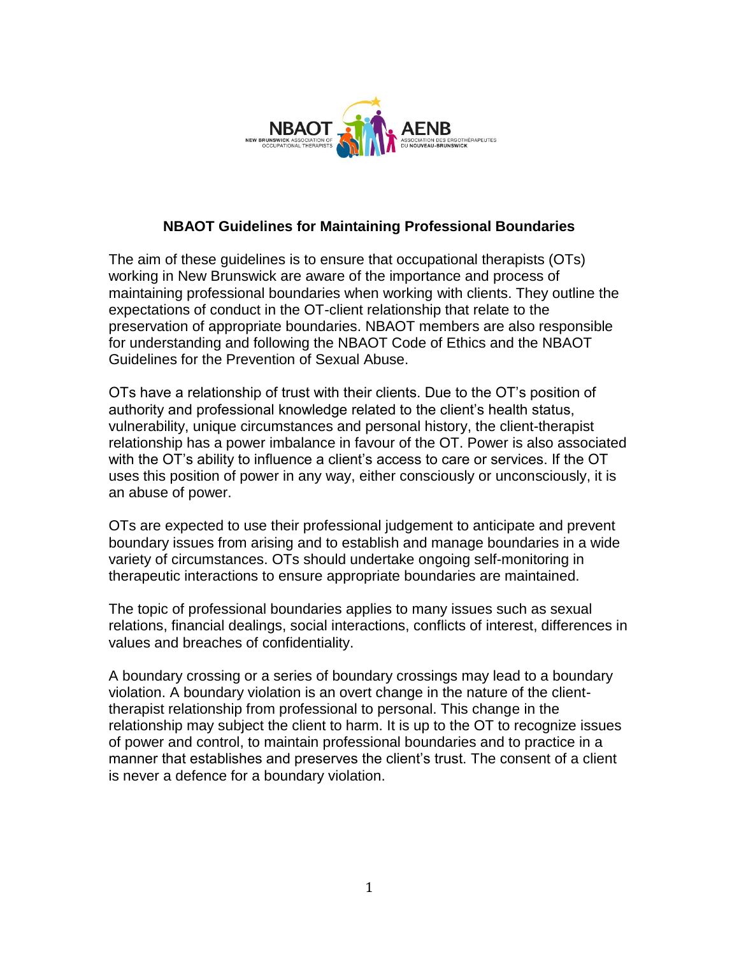

### **NBAOT Guidelines for Maintaining Professional Boundaries**

The aim of these guidelines is to ensure that occupational therapists (OTs) working in New Brunswick are aware of the importance and process of maintaining professional boundaries when working with clients. They outline the expectations of conduct in the OT-client relationship that relate to the preservation of appropriate boundaries. NBAOT members are also responsible for understanding and following the NBAOT Code of Ethics and the NBAOT Guidelines for the Prevention of Sexual Abuse.

OTs have a relationship of trust with their clients. Due to the OT's position of authority and professional knowledge related to the client's health status, vulnerability, unique circumstances and personal history, the client-therapist relationship has a power imbalance in favour of the OT. Power is also associated with the OT's ability to influence a client's access to care or services. If the OT uses this position of power in any way, either consciously or unconsciously, it is an abuse of power.

OTs are expected to use their professional judgement to anticipate and prevent boundary issues from arising and to establish and manage boundaries in a wide variety of circumstances. OTs should undertake ongoing self-monitoring in therapeutic interactions to ensure appropriate boundaries are maintained.

The topic of professional boundaries applies to many issues such as sexual relations, financial dealings, social interactions, conflicts of interest, differences in values and breaches of confidentiality.

A boundary crossing or a series of boundary crossings may lead to a boundary violation. A boundary violation is an overt change in the nature of the clienttherapist relationship from professional to personal. This change in the relationship may subject the client to harm. It is up to the OT to recognize issues of power and control, to maintain professional boundaries and to practice in a manner that establishes and preserves the client's trust. The consent of a client is never a defence for a boundary violation.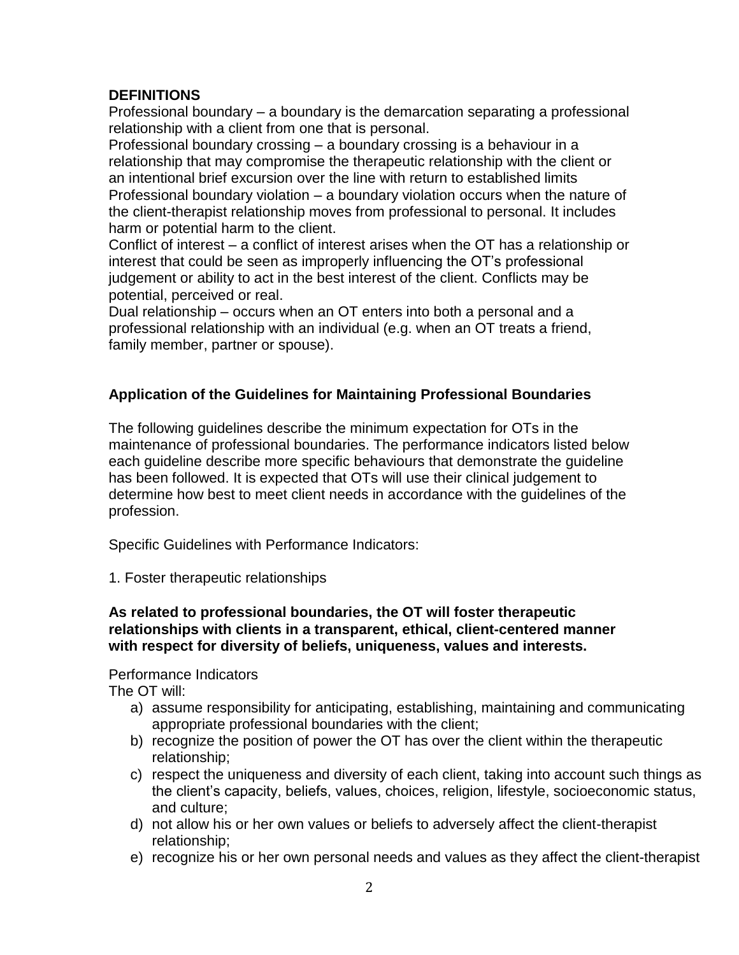## **DEFINITIONS**

Professional boundary – a boundary is the demarcation separating a professional relationship with a client from one that is personal.

Professional boundary crossing – a boundary crossing is a behaviour in a relationship that may compromise the therapeutic relationship with the client or an intentional brief excursion over the line with return to established limits Professional boundary violation – a boundary violation occurs when the nature of the client-therapist relationship moves from professional to personal. It includes harm or potential harm to the client.

Conflict of interest – a conflict of interest arises when the OT has a relationship or interest that could be seen as improperly influencing the OT's professional judgement or ability to act in the best interest of the client. Conflicts may be potential, perceived or real.

Dual relationship – occurs when an OT enters into both a personal and a professional relationship with an individual (e.g. when an OT treats a friend, family member, partner or spouse).

# **Application of the Guidelines for Maintaining Professional Boundaries**

The following guidelines describe the minimum expectation for OTs in the maintenance of professional boundaries. The performance indicators listed below each guideline describe more specific behaviours that demonstrate the guideline has been followed. It is expected that OTs will use their clinical judgement to determine how best to meet client needs in accordance with the guidelines of the profession.

Specific Guidelines with Performance Indicators:

1. Foster therapeutic relationships

#### **As related to professional boundaries, the OT will foster therapeutic relationships with clients in a transparent, ethical, client-centered manner with respect for diversity of beliefs, uniqueness, values and interests.**

## Performance Indicators

The OT will:

- a) assume responsibility for anticipating, establishing, maintaining and communicating appropriate professional boundaries with the client;
- b) recognize the position of power the OT has over the client within the therapeutic relationship;
- c) respect the uniqueness and diversity of each client, taking into account such things as the client's capacity, beliefs, values, choices, religion, lifestyle, socioeconomic status, and culture;
- d) not allow his or her own values or beliefs to adversely affect the client-therapist relationship;
- e) recognize his or her own personal needs and values as they affect the client-therapist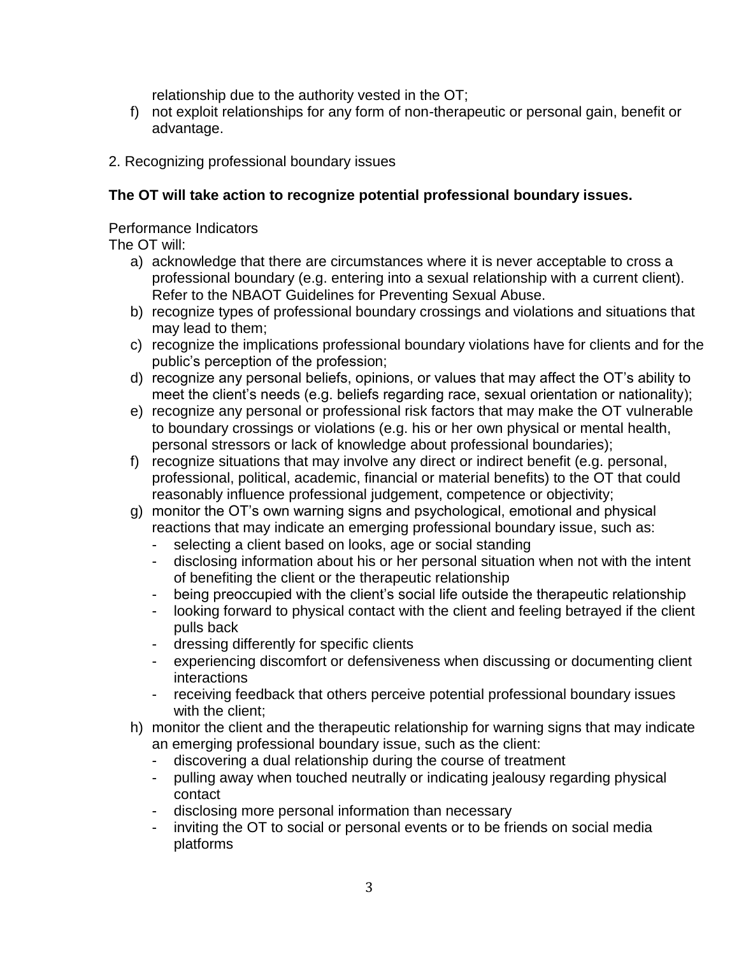relationship due to the authority vested in the OT;

- f) not exploit relationships for any form of non-therapeutic or personal gain, benefit or advantage.
- 2. Recognizing professional boundary issues

## **The OT will take action to recognize potential professional boundary issues.**

Performance Indicators

The OT will:

- a) acknowledge that there are circumstances where it is never acceptable to cross a professional boundary (e.g. entering into a sexual relationship with a current client). Refer to the NBAOT Guidelines for Preventing Sexual Abuse.
- b) recognize types of professional boundary crossings and violations and situations that may lead to them;
- c) recognize the implications professional boundary violations have for clients and for the public's perception of the profession;
- d) recognize any personal beliefs, opinions, or values that may affect the OT's ability to meet the client's needs (e.g. beliefs regarding race, sexual orientation or nationality);
- e) recognize any personal or professional risk factors that may make the OT vulnerable to boundary crossings or violations (e.g. his or her own physical or mental health, personal stressors or lack of knowledge about professional boundaries);
- f) recognize situations that may involve any direct or indirect benefit (e.g. personal, professional, political, academic, financial or material benefits) to the OT that could reasonably influence professional judgement, competence or objectivity;
- g) monitor the OT's own warning signs and psychological, emotional and physical reactions that may indicate an emerging professional boundary issue, such as:
	- selecting a client based on looks, age or social standing
	- disclosing information about his or her personal situation when not with the intent of benefiting the client or the therapeutic relationship
	- being preoccupied with the client's social life outside the therapeutic relationship
	- looking forward to physical contact with the client and feeling betrayed if the client pulls back
	- dressing differently for specific clients
	- experiencing discomfort or defensiveness when discussing or documenting client interactions
	- receiving feedback that others perceive potential professional boundary issues with the client;
- h) monitor the client and the therapeutic relationship for warning signs that may indicate an emerging professional boundary issue, such as the client:
	- discovering a dual relationship during the course of treatment
	- pulling away when touched neutrally or indicating jealousy regarding physical contact
	- disclosing more personal information than necessary
	- inviting the OT to social or personal events or to be friends on social media platforms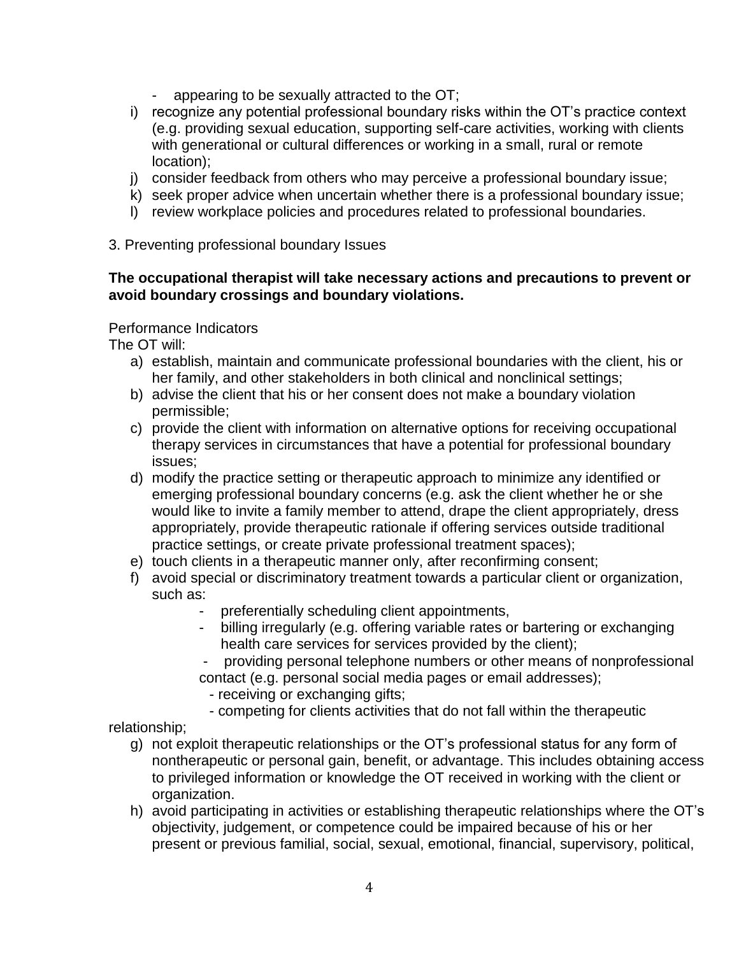- appearing to be sexually attracted to the OT;
- i) recognize any potential professional boundary risks within the OT's practice context (e.g. providing sexual education, supporting self-care activities, working with clients with generational or cultural differences or working in a small, rural or remote location);
- j) consider feedback from others who may perceive a professional boundary issue;
- k) seek proper advice when uncertain whether there is a professional boundary issue;
- l) review workplace policies and procedures related to professional boundaries.

#### 3. Preventing professional boundary Issues

#### **The occupational therapist will take necessary actions and precautions to prevent or avoid boundary crossings and boundary violations.**

#### Performance Indicators

The OT will:

- a) establish, maintain and communicate professional boundaries with the client, his or her family, and other stakeholders in both clinical and nonclinical settings;
- b) advise the client that his or her consent does not make a boundary violation permissible;
- c) provide the client with information on alternative options for receiving occupational therapy services in circumstances that have a potential for professional boundary issues;
- d) modify the practice setting or therapeutic approach to minimize any identified or emerging professional boundary concerns (e.g. ask the client whether he or she would like to invite a family member to attend, drape the client appropriately, dress appropriately, provide therapeutic rationale if offering services outside traditional practice settings, or create private professional treatment spaces);
- e) touch clients in a therapeutic manner only, after reconfirming consent;
- f) avoid special or discriminatory treatment towards a particular client or organization, such as:
	- preferentially scheduling client appointments,
	- billing irregularly (e.g. offering variable rates or bartering or exchanging health care services for services provided by the client);
	- providing personal telephone numbers or other means of nonprofessional contact (e.g. personal social media pages or email addresses);
		- receiving or exchanging gifts;
		- competing for clients activities that do not fall within the therapeutic

relationship;

- g) not exploit therapeutic relationships or the OT's professional status for any form of nontherapeutic or personal gain, benefit, or advantage. This includes obtaining access to privileged information or knowledge the OT received in working with the client or organization.
- h) avoid participating in activities or establishing therapeutic relationships where the OT's objectivity, judgement, or competence could be impaired because of his or her present or previous familial, social, sexual, emotional, financial, supervisory, political,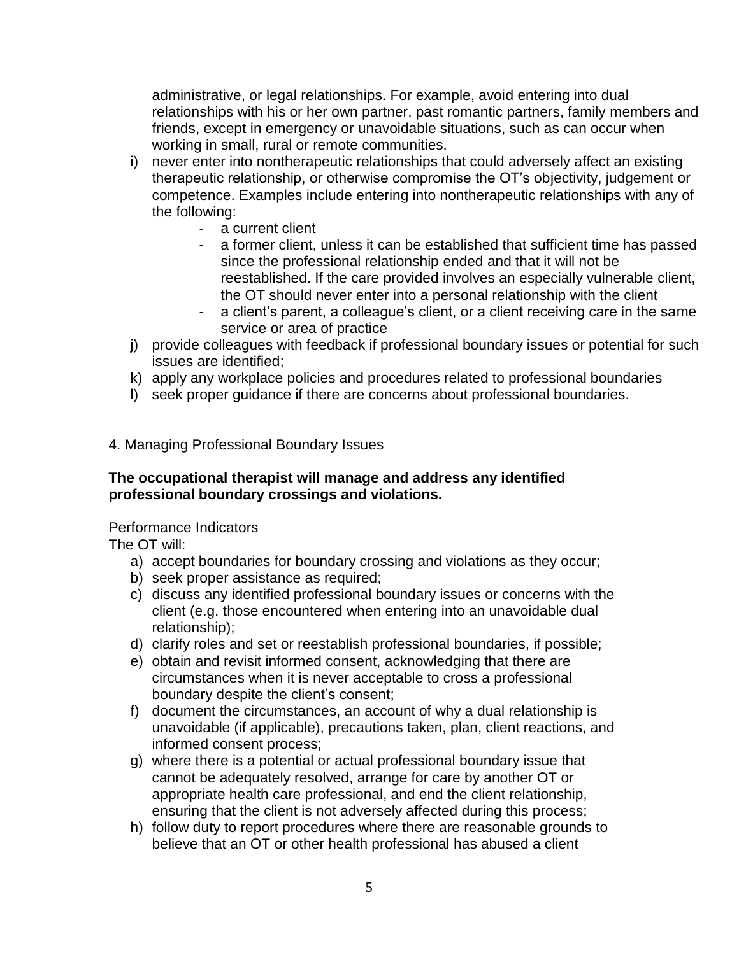administrative, or legal relationships. For example, avoid entering into dual relationships with his or her own partner, past romantic partners, family members and friends, except in emergency or unavoidable situations, such as can occur when working in small, rural or remote communities.

- i) never enter into nontherapeutic relationships that could adversely affect an existing therapeutic relationship, or otherwise compromise the OT's objectivity, judgement or competence. Examples include entering into nontherapeutic relationships with any of the following:
	- a current client
	- a former client, unless it can be established that sufficient time has passed since the professional relationship ended and that it will not be reestablished. If the care provided involves an especially vulnerable client, the OT should never enter into a personal relationship with the client
	- a client's parent, a colleague's client, or a client receiving care in the same service or area of practice
- j) provide colleagues with feedback if professional boundary issues or potential for such issues are identified;
- k) apply any workplace policies and procedures related to professional boundaries
- l) seek proper guidance if there are concerns about professional boundaries.

#### 4. Managing Professional Boundary Issues

#### **The occupational therapist will manage and address any identified professional boundary crossings and violations.**

#### Performance Indicators

The OT will:

- a) accept boundaries for boundary crossing and violations as they occur;
- b) seek proper assistance as required;
- c) discuss any identified professional boundary issues or concerns with the client (e.g. those encountered when entering into an unavoidable dual relationship);
- d) clarify roles and set or reestablish professional boundaries, if possible;
- e) obtain and revisit informed consent, acknowledging that there are circumstances when it is never acceptable to cross a professional boundary despite the client's consent;
- f) document the circumstances, an account of why a dual relationship is unavoidable (if applicable), precautions taken, plan, client reactions, and informed consent process;
- g) where there is a potential or actual professional boundary issue that cannot be adequately resolved, arrange for care by another OT or appropriate health care professional, and end the client relationship, ensuring that the client is not adversely affected during this process;
- h) follow duty to report procedures where there are reasonable grounds to believe that an OT or other health professional has abused a client